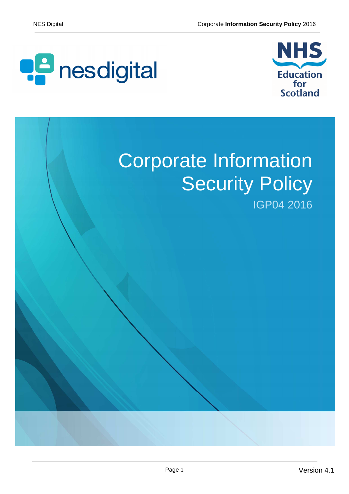



# Corporate Information **Security Policy**

IGP04 2016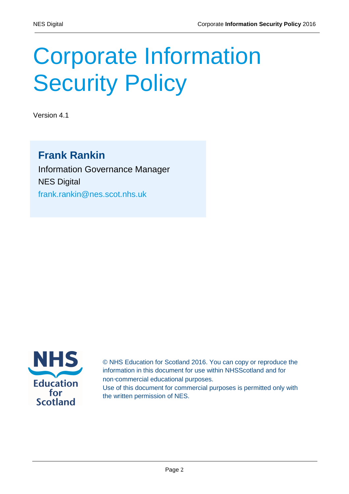# Corporate Information **Security Policy**

Version 4.1

#### **Frank Rankin**

Information Governance Manager NES Digital frank.rankin@nes.scot.nhs.uk



© NHS Education for Scotland 2016. You can copy or reproduce the information in this document for use within NHSScotland and for non‑commercial educational purposes. Use of this document for commercial purposes is permitted only with the written permission of NES.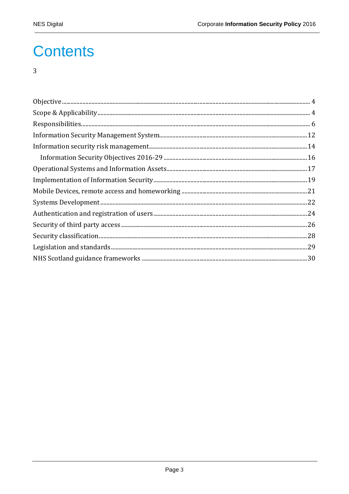### **Contents**

#### $\overline{3}$

| $\textbf{Scope}~\&~\textbf{Applicability}.\textcolor{red}{\textbf{Output}} \vspace{-0.05cm} 4$ |  |
|------------------------------------------------------------------------------------------------|--|
|                                                                                                |  |
|                                                                                                |  |
|                                                                                                |  |
|                                                                                                |  |
|                                                                                                |  |
|                                                                                                |  |
|                                                                                                |  |
|                                                                                                |  |
|                                                                                                |  |
|                                                                                                |  |
|                                                                                                |  |
|                                                                                                |  |
|                                                                                                |  |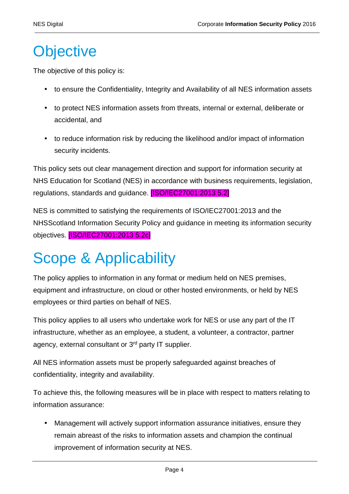### **Objective**

The objective of this policy is:

- to ensure the Confidentiality, Integrity and Availability of all NES information assets
- to protect NES information assets from threats, internal or external, deliberate or accidental, and
- to reduce information risk by reducing the likelihood and/or impact of information security incidents.

This policy sets out clear management direction and support for information security at NHS Education for Scotland (NES) in accordance with business requirements, legislation, regulations, standards and guidance. [ISO/IEC27001:2013 5.2]

NES is committed to satisfying the requirements of ISO/IEC27001:2013 and the NHSScotland Information Security Policy and guidance in meeting its information security objectives. [ISO/IEC27001:2013 5.2c]

# Scope & Applicability

The policy applies to information in any format or medium held on NES premises, equipment and infrastructure, on cloud or other hosted environments, or held by NES employees or third parties on behalf of NES.

This policy applies to all users who undertake work for NES or use any part of the IT infrastructure, whether as an employee, a student, a volunteer, a contractor, partner agency, external consultant or 3rd party IT supplier.

All NES information assets must be properly safeguarded against breaches of confidentiality, integrity and availability.

To achieve this, the following measures will be in place with respect to matters relating to information assurance:

• Management will actively support information assurance initiatives, ensure they remain abreast of the risks to information assets and champion the continual improvement of information security at NES.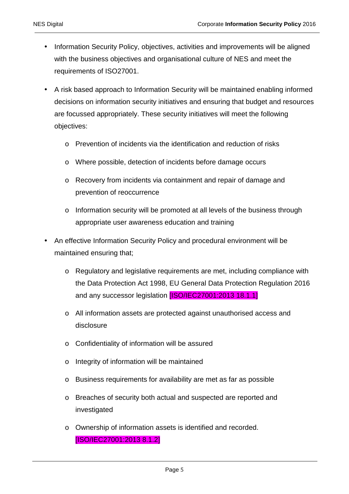- Information Security Policy, objectives, activities and improvements will be aligned with the business objectives and organisational culture of NES and meet the requirements of ISO27001.
- A risk based approach to Information Security will be maintained enabling informed decisions on information security initiatives and ensuring that budget and resources are focussed appropriately. These security initiatives will meet the following objectives:
	- o Prevention of incidents via the identification and reduction of risks
	- o Where possible, detection of incidents before damage occurs
	- o Recovery from incidents via containment and repair of damage and prevention of reoccurrence
	- o Information security will be promoted at all levels of the business through appropriate user awareness education and training
- An effective Information Security Policy and procedural environment will be maintained ensuring that;
	- o Regulatory and legislative requirements are met, including compliance with the Data Protection Act 1998, EU General Data Protection Regulation 2016 and any successor legislation [ISO/IEC27001:2013 18.1.1]
	- o All information assets are protected against unauthorised access and disclosure
	- o Confidentiality of information will be assured
	- o Integrity of information will be maintained
	- o Business requirements for availability are met as far as possible
	- o Breaches of security both actual and suspected are reported and investigated
	- o Ownership of information assets is identified and recorded. [ISO/IEC27001:2013 8.1.2]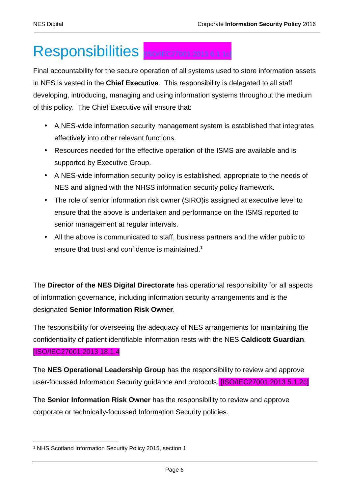### Responsibilities [ISO/IEC27001:2013 6.1.1c]

Final accountability for the secure operation of all systems used to store information assets in NES is vested in the **Chief Executive**. This responsibility is delegated to all staff developing, introducing, managing and using information systems throughout the medium of this policy. The Chief Executive will ensure that:

- A NES-wide information security management system is established that integrates effectively into other relevant functions.
- Resources needed for the effective operation of the ISMS are available and is supported by Executive Group.
- A NES-wide information security policy is established, appropriate to the needs of NES and aligned with the NHSS information security policy framework.
- The role of senior information risk owner (SIRO)is assigned at executive level to ensure that the above is undertaken and performance on the ISMS reported to senior management at regular intervals.
- All the above is communicated to staff, business partners and the wider public to ensure that trust and confidence is maintained.<sup>1</sup>

The **Director of the NES Digital Directorate** has operational responsibility for all aspects of information governance, including information security arrangements and is the designated **Senior Information Risk Owner**.

The responsibility for overseeing the adequacy of NES arrangements for maintaining the confidentiality of patient identifiable information rests with the NES **Caldicott Guardian**. [ISO/IEC27001:2013 18.1.4

The **NES Operational Leadership Group** has the responsibility to review and approve user-focussed Information Security guidance and protocols. **[ISO/IEC27001:2013 5.1.2c]** 

The **Senior Information Risk Owner** has the responsibility to review and approve corporate or technically-focussed Information Security policies.

 $\overline{a}$ 1 NHS Scotland Information Security Policy 2015, section 1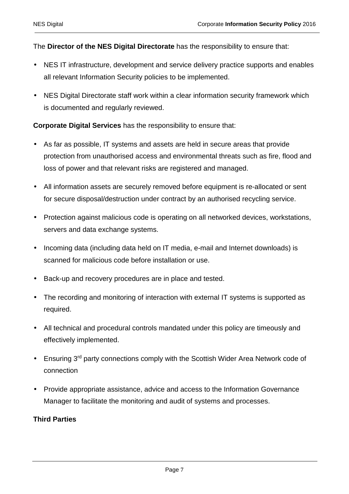The **Director of the NES Digital Directorate** has the responsibility to ensure that:

- NES IT infrastructure, development and service delivery practice supports and enables all relevant Information Security policies to be implemented.
- NES Digital Directorate staff work within a clear information security framework which is documented and regularly reviewed.

**Corporate Digital Services** has the responsibility to ensure that:

- As far as possible, IT systems and assets are held in secure areas that provide protection from unauthorised access and environmental threats such as fire, flood and loss of power and that relevant risks are registered and managed.
- All information assets are securely removed before equipment is re-allocated or sent for secure disposal/destruction under contract by an authorised recycling service.
- Protection against malicious code is operating on all networked devices, workstations, servers and data exchange systems.
- Incoming data (including data held on IT media, e-mail and Internet downloads) is scanned for malicious code before installation or use.
- Back-up and recovery procedures are in place and tested.
- The recording and monitoring of interaction with external IT systems is supported as required.
- All technical and procedural controls mandated under this policy are timeously and effectively implemented.
- Ensuring 3<sup>rd</sup> party connections comply with the Scottish Wider Area Network code of connection
- Provide appropriate assistance, advice and access to the Information Governance Manager to facilitate the monitoring and audit of systems and processes.

#### **Third Parties**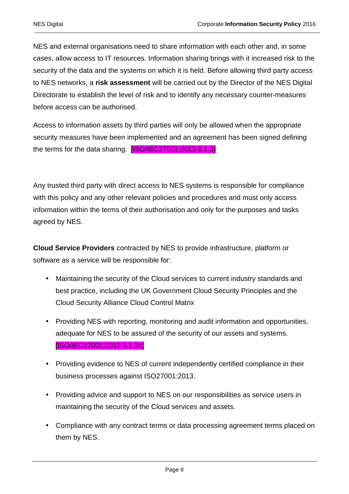NES and external organisations need to share information with each other and, in some cases, allow access to IT resources. Information sharing brings with it increased risk to the security of the data and the systems on which it is held. Before allowing third party access to NES networks, a **risk assessment** will be carried out by the Director of the NES Digital Directorate to establish the level of risk and to identify any necessary counter-measures before access can be authorised.

Access to information assets by third parties will only be allowed when the appropriate security measures have been implemented and an agreement has been signed defining the terms for the data sharing. **[ISO/IEC27001:2013 8.1.3]** 

Any trusted third party with direct access to NES systems is responsible for compliance with this policy and any other relevant policies and procedures and must only access information within the terms of their authorisation and only for the purposes and tasks agreed by NES.

**Cloud Service Providers** contracted by NES to provide infrastructure, platform or software as a service will be responsible for:

- Maintaining the security of the Cloud services to current industry standards and best practice, including the UK Government Cloud Security Principles and the Cloud Security Alliance Cloud Control Matrix
- Providing NES with reporting, monitoring and audit information and opportunities, adequate for NES to be assured of the security of our assets and systems. [ISO/IEC27001:2013 8.1.3c]
- Providing evidence to NES of current independently certified compliance in their business processes against ISO27001:2013.
- Providing advice and support to NES on our responsibilities as service users in maintaining the security of the Cloud services and assets.
- Compliance with any contract terms or data processing agreement terms placed on them by NES.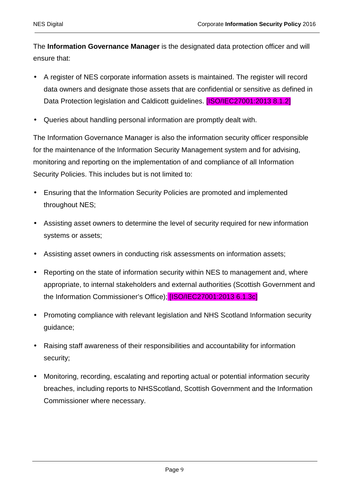The **Information Governance Manager** is the designated data protection officer and will ensure that:

- A register of NES corporate information assets is maintained. The register will record data owners and designate those assets that are confidential or sensitive as defined in Data Protection legislation and Caldicott guidelines. [ISO/IEC27001:2013 8.1.2]
- Queries about handling personal information are promptly dealt with.

The Information Governance Manager is also the information security officer responsible for the maintenance of the Information Security Management system and for advising, monitoring and reporting on the implementation of and compliance of all Information Security Policies. This includes but is not limited to:

- Ensuring that the Information Security Policies are promoted and implemented throughout NES;
- Assisting asset owners to determine the level of security required for new information systems or assets;
- Assisting asset owners in conducting risk assessments on information assets;
- Reporting on the state of information security within NES to management and, where appropriate, to internal stakeholders and external authorities (Scottish Government and the Information Commissioner's Office); [ISO/IEC27001:2013 6.1.3c]
- Promoting compliance with relevant legislation and NHS Scotland Information security guidance;
- Raising staff awareness of their responsibilities and accountability for information security;
- Monitoring, recording, escalating and reporting actual or potential information security breaches, including reports to NHSScotland, Scottish Government and the Information Commissioner where necessary.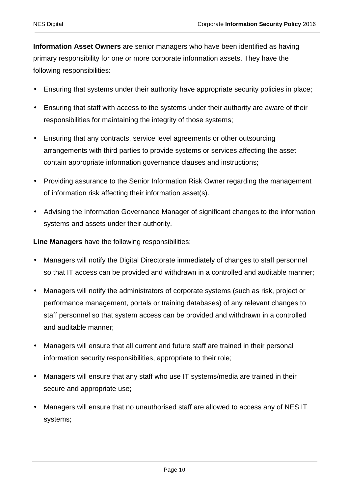**Information Asset Owners** are senior managers who have been identified as having primary responsibility for one or more corporate information assets. They have the following responsibilities:

- Ensuring that systems under their authority have appropriate security policies in place;
- Ensuring that staff with access to the systems under their authority are aware of their responsibilities for maintaining the integrity of those systems;
- Ensuring that any contracts, service level agreements or other outsourcing arrangements with third parties to provide systems or services affecting the asset contain appropriate information governance clauses and instructions;
- Providing assurance to the Senior Information Risk Owner regarding the management of information risk affecting their information asset(s).
- Advising the Information Governance Manager of significant changes to the information systems and assets under their authority.

**Line Managers** have the following responsibilities:

- Managers will notify the Digital Directorate immediately of changes to staff personnel so that IT access can be provided and withdrawn in a controlled and auditable manner;
- Managers will notify the administrators of corporate systems (such as risk, project or performance management, portals or training databases) of any relevant changes to staff personnel so that system access can be provided and withdrawn in a controlled and auditable manner;
- Managers will ensure that all current and future staff are trained in their personal information security responsibilities, appropriate to their role;
- Managers will ensure that any staff who use IT systems/media are trained in their secure and appropriate use;
- Managers will ensure that no unauthorised staff are allowed to access any of NES IT systems;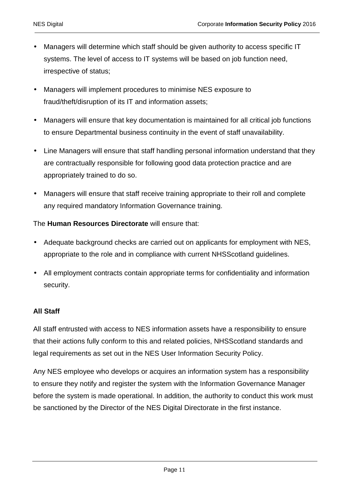- Managers will determine which staff should be given authority to access specific IT systems. The level of access to IT systems will be based on job function need, irrespective of status;
- Managers will implement procedures to minimise NES exposure to fraud/theft/disruption of its IT and information assets;
- Managers will ensure that key documentation is maintained for all critical job functions to ensure Departmental business continuity in the event of staff unavailability.
- Line Managers will ensure that staff handling personal information understand that they are contractually responsible for following good data protection practice and are appropriately trained to do so.
- Managers will ensure that staff receive training appropriate to their roll and complete any required mandatory Information Governance training.

#### The **Human Resources Directorate** will ensure that:

- Adequate background checks are carried out on applicants for employment with NES, appropriate to the role and in compliance with current NHSScotland guidelines.
- All employment contracts contain appropriate terms for confidentiality and information security.

#### **All Staff**

All staff entrusted with access to NES information assets have a responsibility to ensure that their actions fully conform to this and related policies, NHSScotland standards and legal requirements as set out in the NES User Information Security Policy.

Any NES employee who develops or acquires an information system has a responsibility to ensure they notify and register the system with the Information Governance Manager before the system is made operational. In addition, the authority to conduct this work must be sanctioned by the Director of the NES Digital Directorate in the first instance.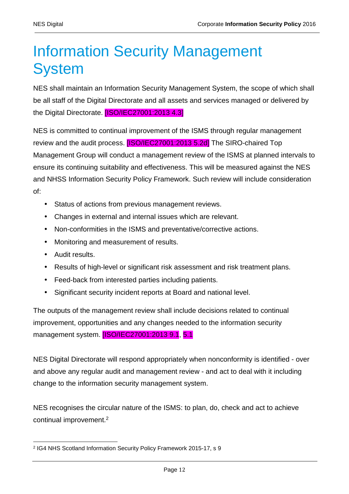### Information Security Management **System**

NES shall maintain an Information Security Management System, the scope of which shall be all staff of the Digital Directorate and all assets and services managed or delivered by the Digital Directorate. [ISO/IEC27001:2013 4.3]

NES is committed to continual improvement of the ISMS through regular management review and the audit process. **[ISO/IEC27001:2013 5.2d]** The SIRO-chaired Top Management Group will conduct a management review of the ISMS at planned intervals to ensure its continuing suitability and effectiveness. This will be measured against the NES and NHSS Information Security Policy Framework. Such review will include consideration of:

- Status of actions from previous management reviews.
- Changes in external and internal issues which are relevant.
- Non-conformities in the ISMS and preventative/corrective actions.
- Monitoring and measurement of results.
- Audit results.
- Results of high-level or significant risk assessment and risk treatment plans.
- Feed-back from interested parties including patients.
- Significant security incident reports at Board and national level.

The outputs of the management review shall include decisions related to continual improvement, opportunities and any changes needed to the information security management system. [ISO/IEC27001:2013 9.1, 5.1]

NES Digital Directorate will respond appropriately when nonconformity is identified - over and above any regular audit and management review - and act to deal with it including change to the information security management system.

NES recognises the circular nature of the ISMS: to plan, do, check and act to achieve continual improvement.<sup>2</sup>

 $\overline{a}$ 2 IG4 NHS Scotland Information Security Policy Framework 2015-17, s 9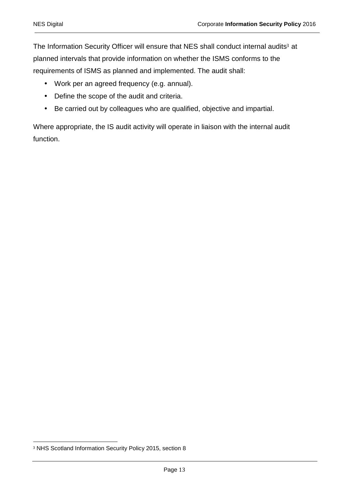The Information Security Officer will ensure that NES shall conduct internal audits<sup>3</sup> at planned intervals that provide information on whether the ISMS conforms to the requirements of ISMS as planned and implemented. The audit shall:

- Work per an agreed frequency (e.g. annual).
- Define the scope of the audit and criteria.
- Be carried out by colleagues who are qualified, objective and impartial.

Where appropriate, the IS audit activity will operate in liaison with the internal audit function.

 $\overline{a}$ <sup>3</sup> NHS Scotland Information Security Policy 2015, section 8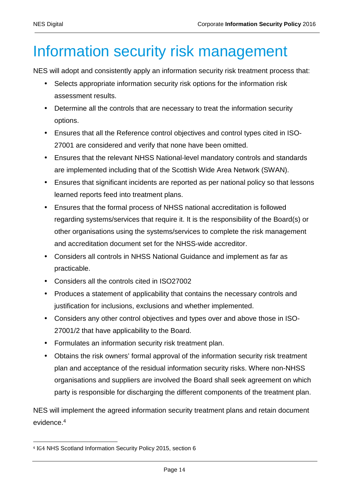## Information security risk management

NES will adopt and consistently apply an information security risk treatment process that:

- Selects appropriate information security risk options for the information risk assessment results.
- Determine all the controls that are necessary to treat the information security options.
- Ensures that all the Reference control objectives and control types cited in ISO-27001 are considered and verify that none have been omitted.
- Ensures that the relevant NHSS National-level mandatory controls and standards are implemented including that of the Scottish Wide Area Network (SWAN).
- Ensures that significant incidents are reported as per national policy so that lessons learned reports feed into treatment plans.
- Ensures that the formal process of NHSS national accreditation is followed regarding systems/services that require it. It is the responsibility of the Board(s) or other organisations using the systems/services to complete the risk management and accreditation document set for the NHSS-wide accreditor.
- Considers all controls in NHSS National Guidance and implement as far as practicable.
- Considers all the controls cited in ISO27002
- Produces a statement of applicability that contains the necessary controls and justification for inclusions, exclusions and whether implemented.
- Considers any other control objectives and types over and above those in ISO-27001/2 that have applicability to the Board.
- Formulates an information security risk treatment plan.
- Obtains the risk owners' formal approval of the information security risk treatment plan and acceptance of the residual information security risks. Where non-NHSS organisations and suppliers are involved the Board shall seek agreement on which party is responsible for discharging the different components of the treatment plan.

NES will implement the agreed information security treatment plans and retain document evidence.<sup>4</sup>

 $\overline{a}$ 4 IG4 NHS Scotland Information Security Policy 2015, section 6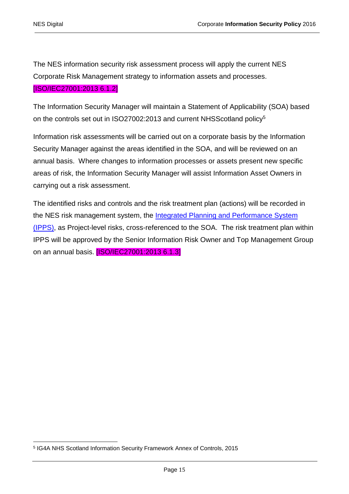The NES information security risk assessment process will apply the current NES Corporate Risk Management strategy to information assets and processes. [ISO/IEC27001:2013 6.1.2]

The Information Security Manager will maintain a Statement of Applicability (SOA) based on the controls set out in ISO27002:2013 and current NHSScotland policy<sup>5</sup>

Information risk assessments will be carried out on a corporate basis by the Information Security Manager against the areas identified in the SOA, and will be reviewed on an annual basis. Where changes to information processes or assets present new specific areas of risk, the Information Security Manager will assist Information Asset Owners in carrying out a risk assessment.

The identified risks and controls and the risk treatment plan (actions) will be recorded in the NES risk management system, the Integrated Planning and Performance System (IPPS), as Project-level risks, cross-referenced to the SOA. The risk treatment plan within IPPS will be approved by the Senior Information Risk Owner and Top Management Group on an annual basis. **[ISO/IEC27001:2013 6.1.3]** 

 $\overline{a}$ 5 IG4A NHS Scotland Information Security Framework Annex of Controls, 2015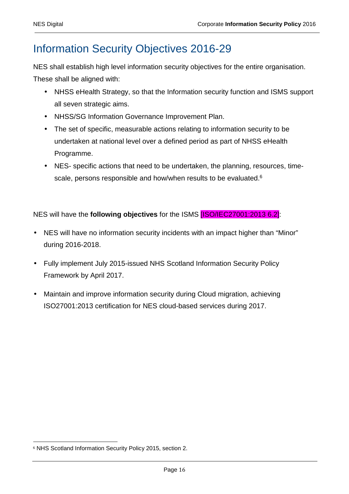### Information Security Objectives 2016-29

NES shall establish high level information security objectives for the entire organisation. These shall be aligned with:

- NHSS eHealth Strategy, so that the Information security function and ISMS support all seven strategic aims.
- NHSS/SG Information Governance Improvement Plan.
- The set of specific, measurable actions relating to information security to be undertaken at national level over a defined period as part of NHSS eHealth Programme.
- NES- specific actions that need to be undertaken, the planning, resources, timescale, persons responsible and how/when results to be evaluated.<sup>6</sup>

NES will have the **following objectives** for the ISMS [ISO/IEC27001:2013 6.2]:

- NES will have no information security incidents with an impact higher than "Minor" during 2016-2018.
- Fully implement July 2015-issued NHS Scotland Information Security Policy Framework by April 2017.
- Maintain and improve information security during Cloud migration, achieving ISO27001:2013 certification for NES cloud-based services during 2017.

 $\overline{a}$ <sup>6</sup> NHS Scotland Information Security Policy 2015, section 2.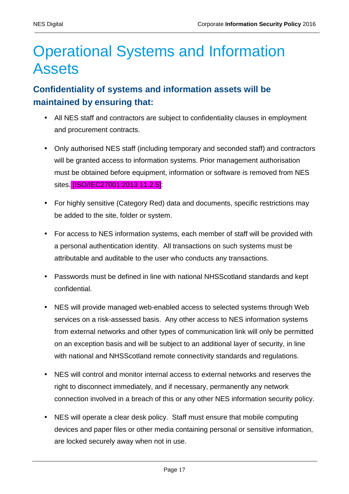### Operational Systems and Information Assets

#### **Confidentiality of systems and information assets will be maintained by ensuring that:**

- All NES staff and contractors are subject to confidentiality clauses in employment and procurement contracts.
- Only authorised NES staff (including temporary and seconded staff) and contractors will be granted access to information systems. Prior management authorisation must be obtained before equipment, information or software is removed from NES sites. [ISO/IEC27001:2013 11.2.5]:
- For highly sensitive (Category Red) data and documents, specific restrictions may be added to the site, folder or system.
- For access to NES information systems, each member of staff will be provided with a personal authentication identity. All transactions on such systems must be attributable and auditable to the user who conducts any transactions.
- Passwords must be defined in line with national NHSScotland standards and kept confidential.
- NES will provide managed web-enabled access to selected systems through Web services on a risk-assessed basis. Any other access to NES information systems from external networks and other types of communication link will only be permitted on an exception basis and will be subject to an additional layer of security, in line with national and NHSScotland remote connectivity standards and regulations.
- NES will control and monitor internal access to external networks and reserves the right to disconnect immediately, and if necessary, permanently any network connection involved in a breach of this or any other NES information security policy.
- NES will operate a clear desk policy. Staff must ensure that mobile computing devices and paper files or other media containing personal or sensitive information, are locked securely away when not in use.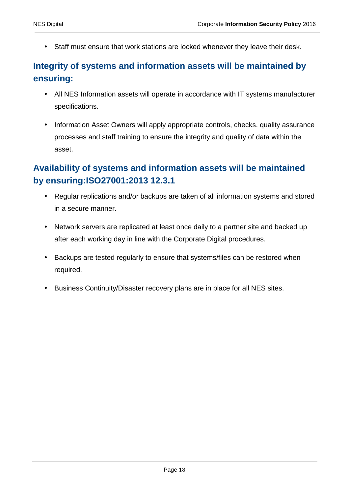• Staff must ensure that work stations are locked whenever they leave their desk.

#### **Integrity of systems and information assets will be maintained by ensuring:**

- All NES Information assets will operate in accordance with IT systems manufacturer specifications.
- Information Asset Owners will apply appropriate controls, checks, quality assurance processes and staff training to ensure the integrity and quality of data within the asset.

#### **Availability of systems and information assets will be maintained by ensuring:ISO27001:2013 12.3.1**

- Regular replications and/or backups are taken of all information systems and stored in a secure manner.
- Network servers are replicated at least once daily to a partner site and backed up after each working day in line with the Corporate Digital procedures.
- Backups are tested regularly to ensure that systems/files can be restored when required.
- Business Continuity/Disaster recovery plans are in place for all NES sites.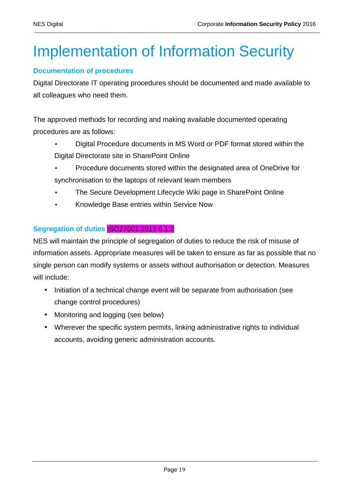# Implementation of Information Security

#### **Documentation of procedures**

Digital Directorate IT operating procedures should be documented and made available to all colleagues who need them.

The approved methods for recording and making available documented operating procedures are as follows:

- Digital Procedure documents in MS Word or PDF format stored within the Digital Directorate site in SharePoint Online
- Procedure documents stored within the designated area of OneDrive for synchronisation to the laptops of relevant team members
- The Secure Development Lifecycle Wiki page in SharePoint Online
- Knowledge Base entries within Service Now

#### **Segregation of duties** ISO27001:2013 6.1.2

NES will maintain the principle of segregation of duties to reduce the risk of misuse of information assets. Appropriate measures will be taken to ensure as far as possible that no single person can modify systems or assets without authorisation or detection. Measures will include:

- Initiation of a technical change event will be separate from authorisation (see change control procedures)
- Monitoring and logging (see below)
- Wherever the specific system permits, linking administrative rights to individual accounts, avoiding generic administration accounts.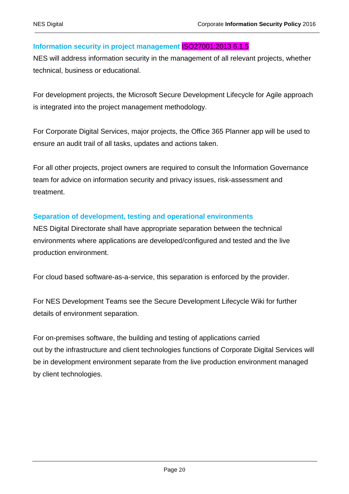#### **Information security in project management** ISO27001:2013 6.1.5

NES will address information security in the management of all relevant projects, whether technical, business or educational.

For development projects, the Microsoft Secure Development Lifecycle for Agile approach is integrated into the project management methodology.

For Corporate Digital Services, major projects, the Office 365 Planner app will be used to ensure an audit trail of all tasks, updates and actions taken.

For all other projects, project owners are required to consult the Information Governance team for advice on information security and privacy issues, risk-assessment and treatment.

#### **Separation of development, testing and operational environments**

NES Digital Directorate shall have appropriate separation between the technical environments where applications are developed/configured and tested and the live production environment.

For cloud based software-as-a-service, this separation is enforced by the provider.

For NES Development Teams see the Secure Development Lifecycle Wiki for further details of environment separation.

For on-premises software, the building and testing of applications carried out by the infrastructure and client technologies functions of Corporate Digital Services will be in development environment separate from the live production environment managed by client technologies.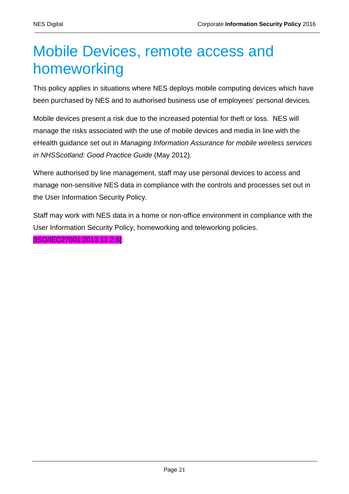## Mobile Devices, remote access and homeworking

This policy applies in situations where NES deploys mobile computing devices which have been purchased by NES and to authorised business use of employees' personal devices.

Mobile devices present a risk due to the increased potential for theft or loss. NES will manage the risks associated with the use of mobile devices and media in line with the eHealth guidance set out in Managing Information Assurance for mobile wireless services in NHSScotland: Good Practice Guide (May 2012).

Where authorised by line management, staff may use personal devices to access and manage non-sensitive NES data in compliance with the controls and processes set out in the User Information Security Policy.

Staff may work with NES data in a home or non-office environment in compliance with the User Information Security Policy, homeworking and teleworking policies. [ISO/IEC27001:2013 11.2.6]: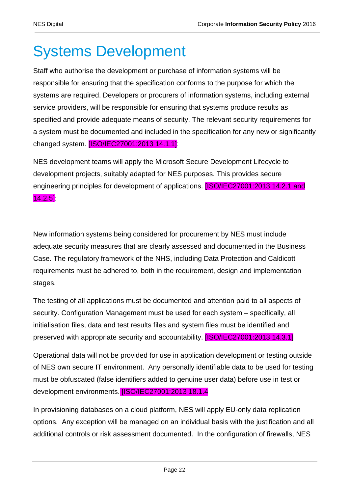### Systems Development

Staff who authorise the development or purchase of information systems will be responsible for ensuring that the specification conforms to the purpose for which the systems are required. Developers or procurers of information systems, including external service providers, will be responsible for ensuring that systems produce results as specified and provide adequate means of security. The relevant security requirements for a system must be documented and included in the specification for any new or significantly changed system. [ISO/IEC27001:2013 14.1.1]:

NES development teams will apply the Microsoft Secure Development Lifecycle to development projects, suitably adapted for NES purposes. This provides secure engineering principles for development of applications. **[ISO/IEC27001:2013 14.2.1 and** 14.2.5]:

New information systems being considered for procurement by NES must include adequate security measures that are clearly assessed and documented in the Business Case. The regulatory framework of the NHS, including Data Protection and Caldicott requirements must be adhered to, both in the requirement, design and implementation stages.

The testing of all applications must be documented and attention paid to all aspects of security. Configuration Management must be used for each system – specifically, all initialisation files, data and test results files and system files must be identified and preserved with appropriate security and accountability. [ISO/IEC27001:2013 14.3.1]

Operational data will not be provided for use in application development or testing outside of NES own secure IT environment. Any personally identifiable data to be used for testing must be obfuscated (false identifiers added to genuine user data) before use in test or development environments. [ISO/IEC27001:2013 18.1.4]

In provisioning databases on a cloud platform, NES will apply EU-only data replication options. Any exception will be managed on an individual basis with the justification and all additional controls or risk assessment documented. In the configuration of firewalls, NES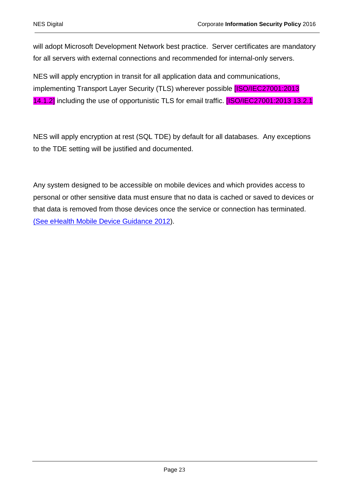will adopt Microsoft Development Network best practice. Server certificates are mandatory for all servers with external connections and recommended for internal-only servers.

NES will apply encryption in transit for all application data and communications, implementing Transport Layer Security (TLS) wherever possible **[ISO/IEC27001:2013** 14.1.2] including the use of opportunistic TLS for email traffic. **[ISO/IEC27001:2013 13.2.1** 

NES will apply encryption at rest (SQL TDE) by default for all databases. Any exceptions to the TDE setting will be justified and documented.

Any system designed to be accessible on mobile devices and which provides access to personal or other sensitive data must ensure that no data is cached or saved to devices or that data is removed from those devices once the service or connection has terminated. (See eHealth Mobile Device Guidance 2012).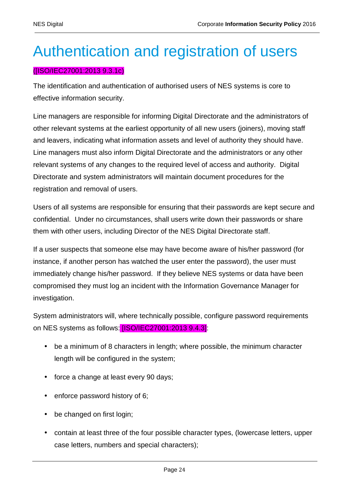### Authentication and registration of users

#### ([ISO/IEC27001:2013 9.3.1c)

The identification and authentication of authorised users of NES systems is core to effective information security.

Line managers are responsible for informing Digital Directorate and the administrators of other relevant systems at the earliest opportunity of all new users (joiners), moving staff and leavers, indicating what information assets and level of authority they should have. Line managers must also inform Digital Directorate and the administrators or any other relevant systems of any changes to the required level of access and authority. Digital Directorate and system administrators will maintain document procedures for the registration and removal of users.

Users of all systems are responsible for ensuring that their passwords are kept secure and confidential. Under no circumstances, shall users write down their passwords or share them with other users, including Director of the NES Digital Directorate staff.

If a user suspects that someone else may have become aware of his/her password (for instance, if another person has watched the user enter the password), the user must immediately change his/her password. If they believe NES systems or data have been compromised they must log an incident with the Information Governance Manager for investigation.

System administrators will, where technically possible, configure password requirements on NES systems as follows: **[ISO/IEC27001:2013 9.4.3]**:

- be a minimum of 8 characters in length; where possible, the minimum character length will be configured in the system;
- force a change at least every 90 days;
- enforce password history of 6;
- be changed on first login;
- contain at least three of the four possible character types, (lowercase letters, upper case letters, numbers and special characters);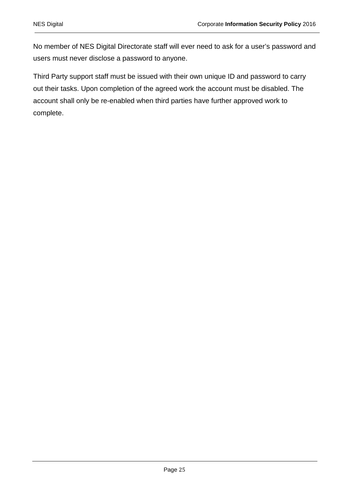No member of NES Digital Directorate staff will ever need to ask for a user's password and users must never disclose a password to anyone.

Third Party support staff must be issued with their own unique ID and password to carry out their tasks. Upon completion of the agreed work the account must be disabled. The account shall only be re-enabled when third parties have further approved work to complete.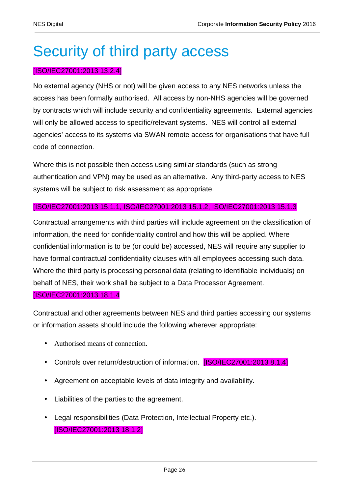### Security of third party access

#### [ISO/IEC27001:2013 13.2.4]

No external agency (NHS or not) will be given access to any NES networks unless the access has been formally authorised. All access by non-NHS agencies will be governed by contracts which will include security and confidentiality agreements. External agencies will only be allowed access to specific/relevant systems. NES will control all external agencies' access to its systems via SWAN remote access for organisations that have full code of connection.

Where this is not possible then access using similar standards (such as strong authentication and VPN) may be used as an alternative. Any third-party access to NES systems will be subject to risk assessment as appropriate.

#### [ISO/IEC27001:2013 15.1.1, ISO/IEC27001:2013 15.1.2, ISO/IEC27001:2013 15.1.3

Contractual arrangements with third parties will include agreement on the classification of information, the need for confidentiality control and how this will be applied. Where confidential information is to be (or could be) accessed, NES will require any supplier to have formal contractual confidentiality clauses with all employees accessing such data. Where the third party is processing personal data (relating to identifiable individuals) on behalf of NES, their work shall be subject to a Data Processor Agreement. [ISO/IEC27001:2013 18.1.4

Contractual and other agreements between NES and third parties accessing our systems or information assets should include the following wherever appropriate:

- Authorised means of connection.
- Controls over return/destruction of information. **[ISO/IEC27001:2013 8.1.4]**
- Agreement on acceptable levels of data integrity and availability.
- Liabilities of the parties to the agreement.
- Legal responsibilities (Data Protection, Intellectual Property etc.). [ISO/IEC27001:2013 18.1.2]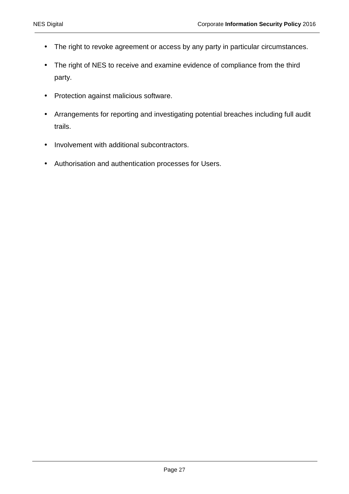- The right to revoke agreement or access by any party in particular circumstances.
- The right of NES to receive and examine evidence of compliance from the third party.
- Protection against malicious software.
- Arrangements for reporting and investigating potential breaches including full audit trails.
- Involvement with additional subcontractors.
- Authorisation and authentication processes for Users.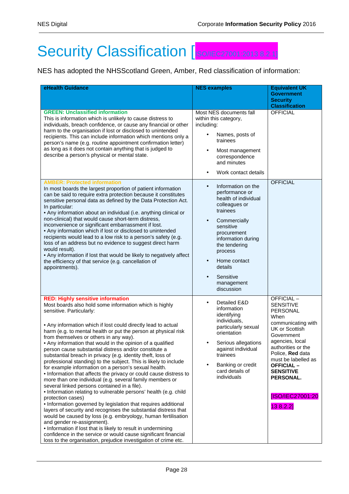# Security Classification [ISO/IEC27001:2013 8.2.1]

NES has adopted the NHSScotland Green, Amber, Red classification of information:

| eHealth Guidance                                                                                                                                                                                                                                                                                                                                                                                                                                                                                                                                                                                                                                                                                                                                                                                                                                                                                                                                                                                                                                                                                                                                                                                                                                                                                                                                  | <b>NES examples</b>                                                                                                                                                                                                                                                                   | <b>Equivalent UK</b><br><b>Government</b><br><b>Security</b>                                                                                                                                                                                                                             |
|---------------------------------------------------------------------------------------------------------------------------------------------------------------------------------------------------------------------------------------------------------------------------------------------------------------------------------------------------------------------------------------------------------------------------------------------------------------------------------------------------------------------------------------------------------------------------------------------------------------------------------------------------------------------------------------------------------------------------------------------------------------------------------------------------------------------------------------------------------------------------------------------------------------------------------------------------------------------------------------------------------------------------------------------------------------------------------------------------------------------------------------------------------------------------------------------------------------------------------------------------------------------------------------------------------------------------------------------------|---------------------------------------------------------------------------------------------------------------------------------------------------------------------------------------------------------------------------------------------------------------------------------------|------------------------------------------------------------------------------------------------------------------------------------------------------------------------------------------------------------------------------------------------------------------------------------------|
|                                                                                                                                                                                                                                                                                                                                                                                                                                                                                                                                                                                                                                                                                                                                                                                                                                                                                                                                                                                                                                                                                                                                                                                                                                                                                                                                                   |                                                                                                                                                                                                                                                                                       | <b>Classification</b>                                                                                                                                                                                                                                                                    |
| <b>GREEN: Unclassified information</b><br>This is information which is unlikely to cause distress to<br>individuals, breach confidence, or cause any financial or other<br>harm to the organisation if lost or disclosed to unintended<br>recipients. This can include information which mentions only a<br>person's name (e.g. routine appointment confirmation letter)<br>as long as it does not contain anything that is judged to<br>describe a person's physical or mental state.                                                                                                                                                                                                                                                                                                                                                                                                                                                                                                                                                                                                                                                                                                                                                                                                                                                            | Most NES documents fall<br>within this category,<br>including:<br>Names, posts of<br>trainees<br>Most management<br>٠<br>correspondence<br>and minutes<br>Work contact details<br>$\bullet$                                                                                           | <b>OFFICIAL</b>                                                                                                                                                                                                                                                                          |
| <b>AMBER: Protected information</b><br>In most boards the largest proportion of patient information<br>can be said to require extra protection because it constitutes<br>sensitive personal data as defined by the Data Protection Act.<br>In particular:<br>• Any information about an individual (i.e. anything clinical or<br>non-clinical) that would cause short-term distress,<br>inconvenience or significant embarrassment if lost.<br>• Any information which if lost or disclosed to unintended<br>recipients would lead to a low risk to a person's safety (e.g.<br>loss of an address but no evidence to suggest direct harm<br>would result).<br>. Any information if lost that would be likely to negatively affect<br>the efficiency of that service (e.g. cancellation of<br>appointments).                                                                                                                                                                                                                                                                                                                                                                                                                                                                                                                                       | Information on the<br>$\bullet$<br>performance or<br>health of individual<br>colleagues or<br>trainees<br>Commercially<br>sensitive<br>procurement<br>information during<br>the tendering<br>process<br>Home contact<br>$\bullet$<br>details<br>Sensitive<br>management<br>discussion | <b>OFFICIAL</b>                                                                                                                                                                                                                                                                          |
| <b>RED: Highly sensitive information</b><br>Most boards also hold some information which is highly<br>sensitive. Particularly:<br>• Any information which if lost could directly lead to actual<br>harm (e.g. to mental health or put the person at physical risk<br>from themselves or others in any way).<br>• Any information that would in the opinion of a qualified<br>person cause substantial distress and/or constitute a<br>substantial breach in privacy (e.g. identity theft, loss of<br>professional standing) to the subject. This is likely to include<br>for example information on a person's sexual health.<br>. Information that affects the privacy or could cause distress to<br>more than one individual (e.g. several family members or<br>several linked persons contained in a file).<br>· Information relating to vulnerable persons' health (e.g. child<br>protection cases)<br>. Information governed by legislation that requires additional<br>layers of security and recognises the substantial distress that<br>would be caused by loss (e.g. embryology, human fertilisation<br>and gender re-assignment).<br>• Information if lost that is likely to result in undermining<br>confidence in the service or would cause significant financial<br>loss to the organisation, prejudice investigation of crime etc. | Detailed E&D<br>$\bullet$<br>information<br>identifying<br>individuals,<br>particularly sexual<br>orientation<br>Serious allegations<br>against individual<br>trainees<br>Banking or credit<br>$\bullet$<br>card details of<br>individuals                                            | OFFICIAL-<br><b>SENSITIVE</b><br>PERSONAL<br>When<br>communicating with<br>UK or Scottish<br>Government<br>agencies, local<br>authorities or the<br>Police, Red data<br>must be labelled as<br><b>OFFICIAL -</b><br><b>SENSITIVE</b><br>PERSONAL.<br><b>ISO/IEC27001:20</b><br>13 8.2.2] |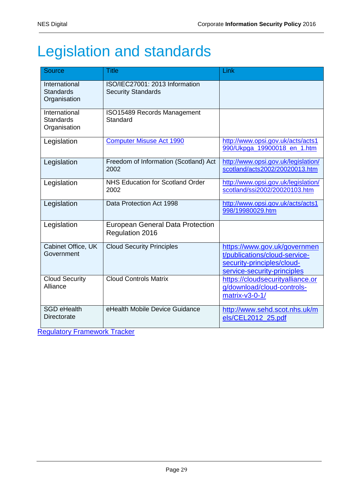## Legislation and standards

| Source                                            | <b>Title</b>                                                | Link                                                                                                                       |
|---------------------------------------------------|-------------------------------------------------------------|----------------------------------------------------------------------------------------------------------------------------|
| International<br><b>Standards</b><br>Organisation | ISO/IEC27001: 2013 Information<br><b>Security Standards</b> |                                                                                                                            |
| International<br><b>Standards</b><br>Organisation | ISO15489 Records Management<br>Standard                     |                                                                                                                            |
| Legislation                                       | <b>Computer Misuse Act 1990</b>                             | http://www.opsi.gov.uk/acts/acts1<br>990/Ukpga_19900018_en_1.htm                                                           |
| Legislation                                       | Freedom of Information (Scotland) Act<br>2002               | http://www.opsi.gov.uk/legislation/<br>scotland/acts2002/20020013.htm                                                      |
| Legislation                                       | <b>NHS Education for Scotland Order</b><br>2002             | http://www.opsi.gov.uk/legislation/<br>scotland/ssi2002/20020103.htm                                                       |
| Legislation                                       | Data Protection Act 1998                                    | http://www.opsi.gov.uk/acts/acts1<br>998/19980029.htm                                                                      |
| Legislation                                       | <b>European General Data Protection</b><br>Regulation 2016  |                                                                                                                            |
| Cabinet Office, UK<br>Government                  | <b>Cloud Security Principles</b>                            | https://www.gov.uk/governmen<br>t/publications/cloud-service-<br>security-principles/cloud-<br>service-security-principles |
| <b>Cloud Security</b><br>Alliance                 | <b>Cloud Controls Matrix</b>                                | https://cloudsecurityalliance.or<br>g/download/cloud-controls-<br>matrix-v3-0-1/                                           |
| <b>SGD eHealth</b><br><b>Directorate</b>          | eHealth Mobile Device Guidance                              | http://www.sehd.scot.nhs.uk/m<br>els/CEL2012 25.pdf                                                                        |

Regulatory Framework Tracker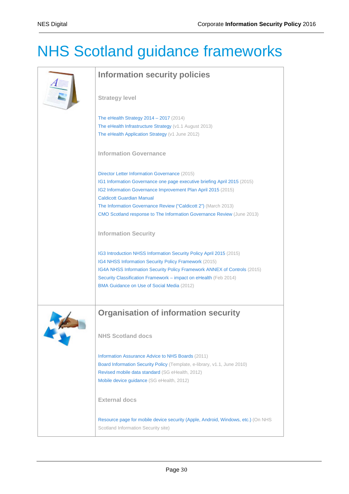# NHS Scotland guidance frameworks

| <b>Information security policies</b>                                                                                                                                                                                                                                                                                                                                       |  |  |  |
|----------------------------------------------------------------------------------------------------------------------------------------------------------------------------------------------------------------------------------------------------------------------------------------------------------------------------------------------------------------------------|--|--|--|
| <b>Strategy level</b>                                                                                                                                                                                                                                                                                                                                                      |  |  |  |
| The eHealth Strategy 2014 - 2017 (2014)<br>The eHealth Infrastructure Strategy (v1.1 August 2013)<br>The eHealth Application Strategy (v1 June 2012)                                                                                                                                                                                                                       |  |  |  |
| <b>Information Governance</b>                                                                                                                                                                                                                                                                                                                                              |  |  |  |
| Director Letter Information Governance (2015)<br>IG1 Information Governance one page executive briefing April 2015 (2015)<br>IG2 Information Governance Improvement Plan April 2015 (2015)<br><b>Caldicott Guardian Manual</b><br>The Information Governance Review ("Caldicott 2") (March 2013)<br>CMO Scotland response to The Information Governance Review (June 2013) |  |  |  |
| <b>Information Security</b>                                                                                                                                                                                                                                                                                                                                                |  |  |  |
| IG3 Introduction NHSS Information Security Policy April 2015 (2015)<br>IG4 NHSS Information Security Policy Framework (2015)<br>IG4A NHSS Information Security Policy Framework ANNEX of Controls (2015)<br>Security Classification Framework - impact on eHealth (Feb 2014)<br>BMA Guidance on Use of Social Media (2012)                                                 |  |  |  |
| <b>Organisation of information security</b>                                                                                                                                                                                                                                                                                                                                |  |  |  |
| <b>NHS Scotland docs</b>                                                                                                                                                                                                                                                                                                                                                   |  |  |  |
| Information Assurance Advice to NHS Boards (2011)<br>Board Information Security Policy (Template, e-library, v1.1, June 2010)<br>Revised mobile data standard (SG eHealth, 2012)<br>Mobile device guidance (SG eHealth, 2012)                                                                                                                                              |  |  |  |
| <b>External docs</b>                                                                                                                                                                                                                                                                                                                                                       |  |  |  |
| Resource page for mobile device security (Apple, Android, Windows, etc.) (On NHS<br>Scotland Information Security site)                                                                                                                                                                                                                                                    |  |  |  |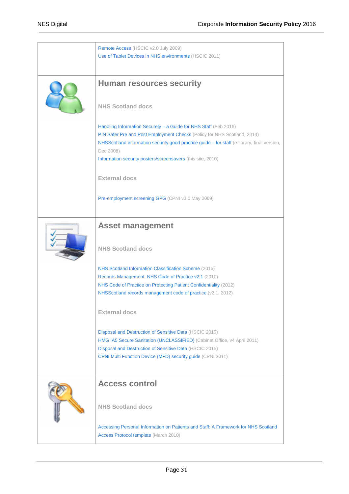| Remote Access (HSCIC v2.0 July 2009)<br>Use of Tablet Devices in NHS environments (HSCIC 2011)                                                                                                                                                                                                                          |
|-------------------------------------------------------------------------------------------------------------------------------------------------------------------------------------------------------------------------------------------------------------------------------------------------------------------------|
| <b>Human resources security</b>                                                                                                                                                                                                                                                                                         |
| <b>NHS Scotland docs</b>                                                                                                                                                                                                                                                                                                |
| Handling Information Securely - a Guide for NHS Staff (Feb 2016)<br>PIN Safer Pre and Post Employment Checks (Policy for NHS Scotland, 2014)<br>NHSScotland information security good practice guide - for staff (e-library, final version,<br>Dec 2008)<br>Information security posters/screensavers (this site, 2010) |
| <b>External docs</b>                                                                                                                                                                                                                                                                                                    |
| Pre-employment screening GPG (CPNI v3.0 May 2009)                                                                                                                                                                                                                                                                       |
| <b>Asset management</b>                                                                                                                                                                                                                                                                                                 |
| <b>NHS Scotland docs</b>                                                                                                                                                                                                                                                                                                |
| NHS Scotland Information Classification Scheme (2015)<br>Records Management: NHS Code of Practice v2.1 (2010)                                                                                                                                                                                                           |
| NHS Code of Practice on Protecting Patient Confidentiality (2012)<br>NHSScotland records management code of practice (v2.1, 2012)                                                                                                                                                                                       |
| <b>External docs</b>                                                                                                                                                                                                                                                                                                    |
| Disposal and Destruction of Sensitive Data (HSCIC 2015)<br>HMG IA5 Secure Sanitation (UNCLASSIFIED) (Cabinet Office, v4 April 2011)<br>Disposal and Destruction of Sensitive Data (HSCIC 2015)<br>CPNI Multi Function Device (MFD) security guide (CPNI 2011)                                                           |
| <b>Access control</b>                                                                                                                                                                                                                                                                                                   |
| <b>NHS Scotland docs</b>                                                                                                                                                                                                                                                                                                |
| Accessing Personal Information on Patients and Staff: A Framework for NHS Scotland<br>Access Protocol template (March 2010)                                                                                                                                                                                             |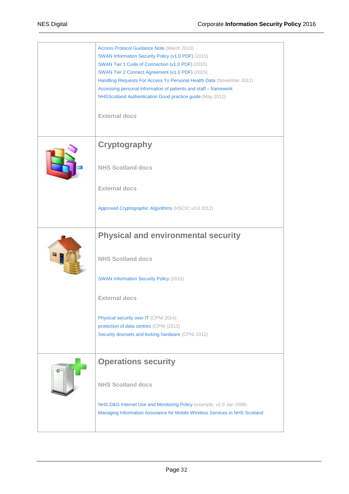| Access Protocol Guidance Note (March 2010)<br>SWAN Information Security Policy (v1.0 PDF) (2015)<br>SWAN Tier 1 Code of Connection (v1.0 PDF) (2015)<br>SWAN Tier 2 Connect Agreement (v1.0 PDF) (2015)<br>Handling Requests For Access To Personal Health Data (November 2011)<br>Accessing personal information of patients and staff - framework<br>NHSScotland Authentication Good practice guide (May 2012)<br><b>External docs</b> |
|------------------------------------------------------------------------------------------------------------------------------------------------------------------------------------------------------------------------------------------------------------------------------------------------------------------------------------------------------------------------------------------------------------------------------------------|
| <b>Cryptography</b><br><b>NHS Scotland docs</b><br><b>External docs</b>                                                                                                                                                                                                                                                                                                                                                                  |
| Approved Cryptographic Algorithms (HSCIC v3.0 2012)<br><b>Physical and environmental security</b><br><b>NHS Scotland docs</b><br><b>SWAN Information Security Policy (2015)</b>                                                                                                                                                                                                                                                          |
| <b>External docs</b><br>Physical security over IT (CPNI 2014)<br>protection of data centres (CPNI (2012)<br>Security doorsets and locking hardware (CPNI 2012)                                                                                                                                                                                                                                                                           |
| <b>Operations security</b><br><b>NHS Scotland docs</b><br>NHS D&G Internet Use and Monitoring Policy (example, v2.0 Jan 2008)<br>Managing Information Assurance for Mobile Wireless Services in NHS Scotland                                                                                                                                                                                                                             |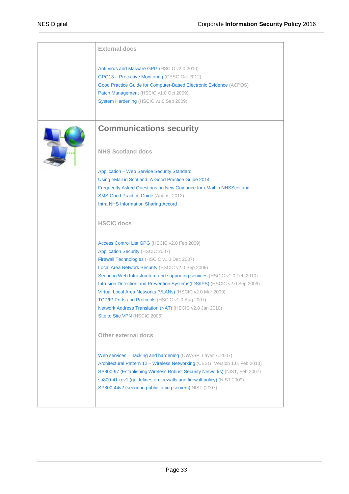| <b>External docs</b>                                                                                                                                                                                                                                                                                                                                            |
|-----------------------------------------------------------------------------------------------------------------------------------------------------------------------------------------------------------------------------------------------------------------------------------------------------------------------------------------------------------------|
| Anti-virus and Malware GPG (HSCIC v2.0 2010)<br>GPG13 - Protective Monitoring (CESG Oct 2012)<br>Good Practice Guide for Computer-Based Electronic Evidence (ACPOS)<br>Patch Management (HSCIC v1.0 Oct 2009)<br>System Hardening (HSCIC v1.0 Sep 2009)                                                                                                         |
| <b>Communications security</b>                                                                                                                                                                                                                                                                                                                                  |
| <b>NHS Scotland docs</b>                                                                                                                                                                                                                                                                                                                                        |
| <b>Application - Web Service Security Standard</b>                                                                                                                                                                                                                                                                                                              |
| Using eMail in Scotland: A Good Practice Guide 2014                                                                                                                                                                                                                                                                                                             |
| Frequently Asked Questions on New Guidance for eMail in NHSScotland                                                                                                                                                                                                                                                                                             |
| <b>SMS Good Practice Guide (August 2012)</b>                                                                                                                                                                                                                                                                                                                    |
| <b>Intra NHS Information Sharing Accord</b>                                                                                                                                                                                                                                                                                                                     |
| <b>HSCIC</b> docs                                                                                                                                                                                                                                                                                                                                               |
| Access Control List GPG (HSCIC v2.0 Feb 2009)                                                                                                                                                                                                                                                                                                                   |
| Application Security (HSCIC 2007)                                                                                                                                                                                                                                                                                                                               |
| Firewall Technologies (HSCIC v1.0 Dec 2007)                                                                                                                                                                                                                                                                                                                     |
| Local Area Network Security (HSCIC v2.0 Sep 2009)                                                                                                                                                                                                                                                                                                               |
| Securing Web Infrastructure and supporting services (HSCIC v1.0 Feb 2010)                                                                                                                                                                                                                                                                                       |
| Intrusion Detection and Prevention Systems(IDS/IPS) (HSCIC v2.0 Sep 2009)                                                                                                                                                                                                                                                                                       |
| Virtual Local Area Networks (VLANs) (HSCIC v2.0 Mar 2009)                                                                                                                                                                                                                                                                                                       |
| TCP/IP Ports and Protocols (HSCIC v1.0 Aug 2007)                                                                                                                                                                                                                                                                                                                |
| Network Address Translation (NAT) (HSCIC v2.0 Jan 2010)                                                                                                                                                                                                                                                                                                         |
| Site to Site VPN (HSCIC 2006)                                                                                                                                                                                                                                                                                                                                   |
| <b>Other external docs</b>                                                                                                                                                                                                                                                                                                                                      |
| Web services – hacking and hardening (OWASP, Layer 7, 2007)<br>Architectural Pattern 12 - Wireless Networking (CESG, Version 1.0, Feb 2013)<br>SP800-97 (Establishing Wireless Robust Security Networks) (NIST, Feb 2007)<br>sp800-41-rev1 (guidelines on firewalls and firewall policy) (NIST 2009)<br>SP800-44v2 (securing public facing servers) NIST (2007) |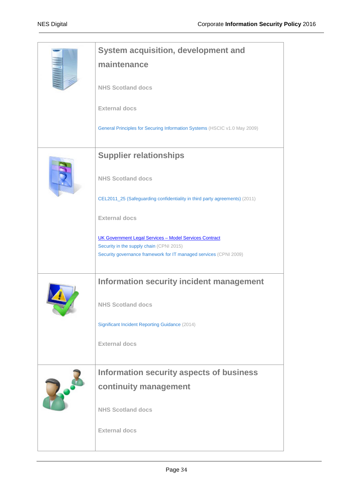| <b>System acquisition, development and</b>                                                                    |
|---------------------------------------------------------------------------------------------------------------|
| maintenance                                                                                                   |
| <b>NHS Scotland docs</b>                                                                                      |
| <b>External docs</b>                                                                                          |
| General Principles for Securing Information Systems (HSCIC v1.0 May 2009)                                     |
| <b>Supplier relationships</b>                                                                                 |
| <b>NHS Scotland docs</b>                                                                                      |
| CEL2011_25 (Safeguarding confidentiality in third party agreements) (2011)                                    |
| <b>External docs</b>                                                                                          |
| UK Government Legal Services - Model Services Contract                                                        |
| Security in the supply chain (CPNI 2015)<br>Security governance framework for IT managed services (CPNI 2009) |
| <b>Information security incident management</b>                                                               |
| <b>NHS Scotland docs</b>                                                                                      |
| Significant Incident Reporting Guidance (2014)                                                                |
| <b>External docs</b>                                                                                          |
| Information security aspects of business                                                                      |
| continuity management                                                                                         |
| <b>NHS Scotland docs</b>                                                                                      |
| <b>External docs</b>                                                                                          |
|                                                                                                               |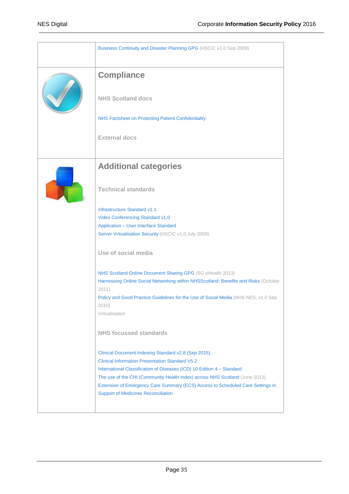| Business Continuity and Disaster Planning GPG (HSCIC v1.0 Sep 2009)                                                          |
|------------------------------------------------------------------------------------------------------------------------------|
| <b>Compliance</b>                                                                                                            |
| <b>NHS Scotland docs</b>                                                                                                     |
| NHS Factsheet on Protecting Patient Confidentiality                                                                          |
| <b>External docs</b>                                                                                                         |
| <b>Additional categories</b>                                                                                                 |
| <b>Technical standards</b>                                                                                                   |
| Infrastructure Standard v1.1                                                                                                 |
| Video Conferencing Standard v1.0                                                                                             |
| <b>Application - User Interface Standard</b>                                                                                 |
| Server Virtualisation Security (HSCIC v1.0 July 2009)                                                                        |
| Use of social media                                                                                                          |
| NHS Scotland Online Document Sharing GPG (SG eHealth 2013)                                                                   |
| Harnessing Online Social Networking within NHSScotland: Benefits and Risks (October<br>2011)                                 |
| Policy and Good Practice Guidelines for the Use of Social Media (NHS NES, v1.0 Sep                                           |
| 2010)<br>Virtualisation                                                                                                      |
|                                                                                                                              |
| NHS focussed standards                                                                                                       |
| Clinical Document Indexing Standard v2.8 (Sep 2015)                                                                          |
| <b>Clinical Information Presentation Standard V5.2</b>                                                                       |
| International Classification of Diseases (ICD) 10 Edition 4 - Standard                                                       |
| The use of the CHI (Community Health Index) across NHS Scotland (June 2013)                                                  |
| Extension of Emergency Care Summary (ECS) Access to Scheduled Care Settings in<br><b>Support of Medicines Reconciliation</b> |
|                                                                                                                              |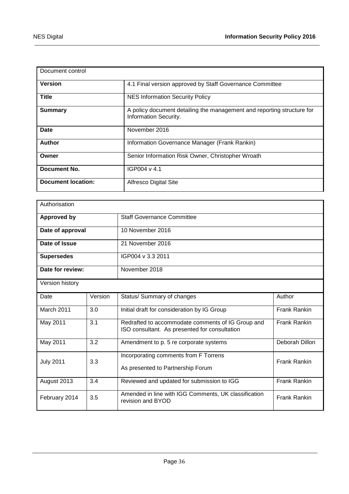| Document control          |                                                                                                 |
|---------------------------|-------------------------------------------------------------------------------------------------|
| <b>Version</b>            | 4.1 Final version approved by Staff Governance Committee                                        |
| <b>Title</b>              | <b>NES Information Security Policy</b>                                                          |
| <b>Summary</b>            | A policy document detailing the management and reporting structure for<br>Information Security. |
| Date                      | November 2016                                                                                   |
| Author                    | Information Governance Manager (Frank Rankin)                                                   |
| Owner                     | Senior Information Risk Owner, Christopher Wroath                                               |
| Document No.              | IGP004 v 4.1                                                                                    |
| <b>Document location:</b> | <b>Alfresco Digital Site</b>                                                                    |

| Authorisation                                           |                                   |                                                                                                    |                     |
|---------------------------------------------------------|-----------------------------------|----------------------------------------------------------------------------------------------------|---------------------|
| <b>Staff Governance Committee</b><br><b>Approved by</b> |                                   |                                                                                                    |                     |
| Date of approval<br>10 November 2016                    |                                   |                                                                                                    |                     |
| Date of Issue<br>21 November 2016                       |                                   |                                                                                                    |                     |
| IGP004 v 3.3 2011<br><b>Supersedes</b>                  |                                   |                                                                                                    |                     |
|                                                         | Date for review:<br>November 2018 |                                                                                                    |                     |
| Version history                                         |                                   |                                                                                                    |                     |
| Date                                                    | Version                           | Status/ Summary of changes                                                                         | Author              |
| March 2011                                              | 3.0                               | Initial draft for consideration by IG Group                                                        | <b>Frank Rankin</b> |
| May 2011                                                | 3.1                               | Redrafted to accommodate comments of IG Group and<br>ISO consultant. As presented for consultation | <b>Frank Rankin</b> |
| May 2011                                                | 3.2                               | Amendment to p. 5 re corporate systems                                                             | Deborah Dillon      |
| <b>July 2011</b>                                        | 3.3                               | Incorporating comments from F Torrens<br>As presented to Partnership Forum                         | <b>Frank Rankin</b> |
| August 2013                                             | 3.4                               | Reviewed and updated for submission to IGG                                                         | <b>Frank Rankin</b> |
| February 2014                                           | 3.5                               | Amended in line with IGG Comments, UK classification<br>revision and BYOD                          | <b>Frank Rankin</b> |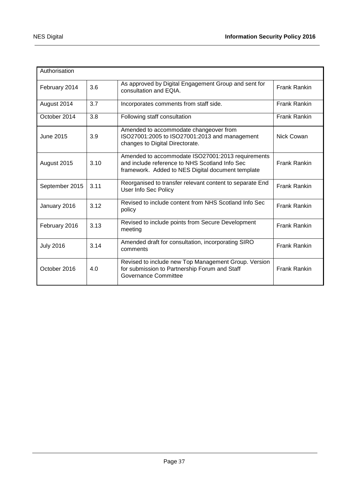| Authorisation    |      |                                                                                                                                                          |                     |
|------------------|------|----------------------------------------------------------------------------------------------------------------------------------------------------------|---------------------|
| February 2014    | 3.6  | As approved by Digital Engagement Group and sent for<br>consultation and EQIA.                                                                           | <b>Frank Rankin</b> |
| August 2014      | 3.7  | Incorporates comments from staff side.                                                                                                                   | <b>Frank Rankin</b> |
| October 2014     | 3.8  | Following staff consultation                                                                                                                             | <b>Frank Rankin</b> |
| June 2015        | 3.9  | Amended to accommodate changeover from<br>ISO27001:2005 to ISO27001:2013 and management<br>changes to Digital Directorate.                               | Nick Cowan          |
| August 2015      | 3.10 | Amended to accommodate ISO27001:2013 requirements<br>and include reference to NHS Scotland Info Sec<br>framework. Added to NES Digital document template | <b>Frank Rankin</b> |
| September 2015   | 3.11 | Reorganised to transfer relevant content to separate End<br><b>User Info Sec Policy</b>                                                                  | <b>Frank Rankin</b> |
| January 2016     | 3.12 | Revised to include content from NHS Scotland Info Sec<br>policy                                                                                          | <b>Frank Rankin</b> |
| February 2016    | 3.13 | Revised to include points from Secure Development<br>meeting                                                                                             | <b>Frank Rankin</b> |
| <b>July 2016</b> | 3.14 | Amended draft for consultation, incorporating SIRO<br>comments                                                                                           | <b>Frank Rankin</b> |
| October 2016     | 4.0  | Revised to include new Top Management Group. Version<br>for submission to Partnership Forum and Staff<br>Governance Committee                            | <b>Frank Rankin</b> |